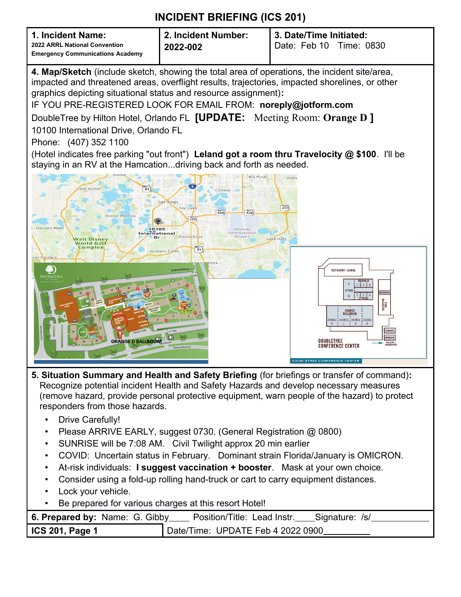| 1. Incident Name:<br>2022 ARRL National Convention<br><b>Emergency Communications Academy</b> | 2. Incident Number:<br>2022-002 | 3. Date/Time Initiated:<br>Date: Feb 10<br>Time: 0830 |  |
|-----------------------------------------------------------------------------------------------|---------------------------------|-------------------------------------------------------|--|
|-----------------------------------------------------------------------------------------------|---------------------------------|-------------------------------------------------------|--|

**4. Map/Sketch** (include sketch, showing the total area of operations, the incident site/area, impacted and threatened areas, overflight results, trajectories, impacted shorelines, or other graphics depicting situational status and resource assignment)**:**

IF YOU PRE-REGISTERED LOOK FOR EMAIL FROM: **noreply@jotform.com**

DoubleTree by Hilton Hotel, Orlando FL **[UPDATE:** Meeting Room: **Orange D ]** 10100 International Drive, Orlando FL

Phone: (407) 352 1100

(Hotel indicates free parking "out front") **Leland got a room thru Travelocity @ \$100**. I'll be staying in an RV at the Hamcation...driving back and forth as needed.



- **5. Situation Summary and Health and Safety Briefing** (for briefings or transfer of command)**:** Recognize potential incident Health and Safety Hazards and develop necessary measures (remove hazard, provide personal protective equipment, warn people of the hazard) to protect responders from those hazards.
	- Drive Carefully!
	- Please ARRIVE EARLY, suggest 0730. (General Registration @ 0800)
	- SUNRISE will be 7:08 AM. Civil Twilight approx 20 min earlier
	- COVID: Uncertain status in February. Dominant strain Florida/January is OMICRON.
	- At-risk individuals: **I suggest vaccination + booster**. Mask at your own choice.
	- Consider using a fold-up rolling hand-truck or cart to carry equipment distances.
	- Lock your vehicle.
	- Be prepared for various charges at this resort Hotel!

|                        | <b>6. Prepared by:</b> Name: G. Gibby ____ Position/Title: Lead Instr. ____ Signature: /s/ |
|------------------------|--------------------------------------------------------------------------------------------|
| <b>ICS 201, Page 1</b> | Date/Time: UPDATE Feb 4 2022 0900                                                          |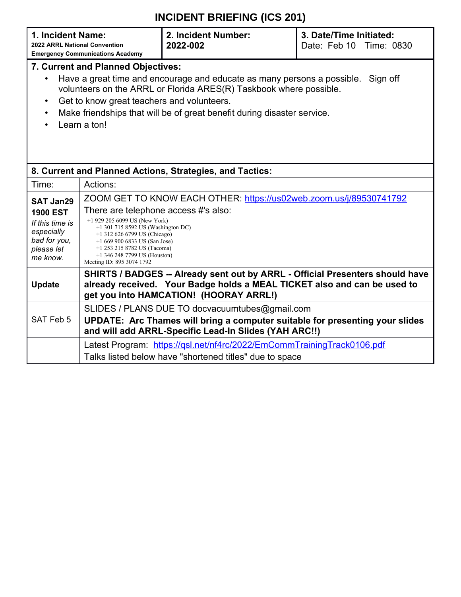|                                                                                                                                                                                                                                                                                                                                                                           | INCIDENT BRIEFING (ICS 201)                                                                                                                                                                                                                                                                                                                         |                                                          |                                                    |  |  |  |
|---------------------------------------------------------------------------------------------------------------------------------------------------------------------------------------------------------------------------------------------------------------------------------------------------------------------------------------------------------------------------|-----------------------------------------------------------------------------------------------------------------------------------------------------------------------------------------------------------------------------------------------------------------------------------------------------------------------------------------------------|----------------------------------------------------------|----------------------------------------------------|--|--|--|
| 1. Incident Name:<br>2022 ARRL National Convention                                                                                                                                                                                                                                                                                                                        | <b>Emergency Communications Academy</b>                                                                                                                                                                                                                                                                                                             | 2. Incident Number:<br>2022-002                          | 3. Date/Time Initiated:<br>Date: Feb 10 Time: 0830 |  |  |  |
| <b>7. Current and Planned Objectives:</b><br>Have a great time and encourage and educate as many persons a possible.<br>Sign off<br>volunteers on the ARRL or Florida ARES(R) Taskbook where possible.<br>Get to know great teachers and volunteers.<br>$\bullet$<br>Make friendships that will be of great benefit during disaster service.<br>$\bullet$<br>Learn a ton! |                                                                                                                                                                                                                                                                                                                                                     |                                                          |                                                    |  |  |  |
|                                                                                                                                                                                                                                                                                                                                                                           |                                                                                                                                                                                                                                                                                                                                                     | 8. Current and Planned Actions, Strategies, and Tactics: |                                                    |  |  |  |
| Time:                                                                                                                                                                                                                                                                                                                                                                     | Actions:                                                                                                                                                                                                                                                                                                                                            |                                                          |                                                    |  |  |  |
| <b>SAT Jan29</b><br><b>1900 EST</b><br>If this time is<br>especially<br>bad for you,<br>please let<br>me know.                                                                                                                                                                                                                                                            | ZOOM GET TO KNOW EACH OTHER: https://us02web.zoom.us/j/89530741792<br>There are telephone access #'s also:<br>$+1$ 929 205 6099 US (New York)<br>+1 301 715 8592 US (Washington DC)<br>$+1$ 312 626 6799 US (Chicago)<br>$+16699006833$ US (San Jose)<br>+1 253 215 8782 US (Tacoma)<br>$+1$ 346 248 7799 US (Houston)<br>Meeting ID: 895 3074 1792 |                                                          |                                                    |  |  |  |
| <b>Update</b>                                                                                                                                                                                                                                                                                                                                                             | SHIRTS / BADGES -- Already sent out by ARRL - Official Presenters should have<br>already received. Your Badge holds a MEAL TICKET also and can be used to<br>get you into HAMCATION! (HOORAY ARRL!)                                                                                                                                                 |                                                          |                                                    |  |  |  |
| SAT Feb 5                                                                                                                                                                                                                                                                                                                                                                 | SLIDES / PLANS DUE TO docvacuumtubes@gmail.com<br>UPDATE: Arc Thames will bring a computer suitable for presenting your slides<br>and will add ARRL-Specific Lead-In Slides (YAH ARC!!)                                                                                                                                                             |                                                          |                                                    |  |  |  |

Latest Program: <https://qsl.net/nf4rc/2022/EmCommTrainingTrack0106.pdf>

Talks listed below have "shortened titles" due to space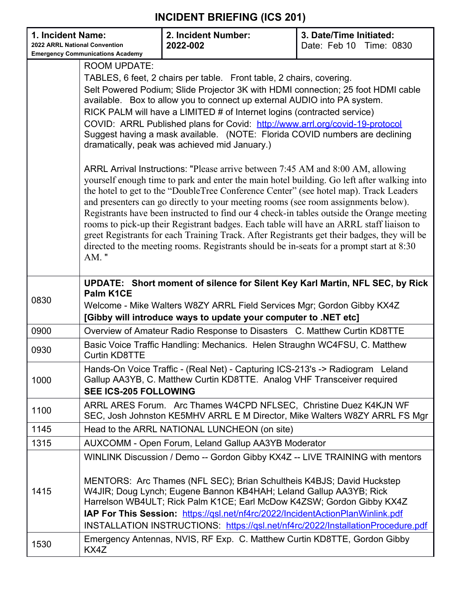| 1. Incident Name:<br>2022 ARRL National Convention<br><b>Emergency Communications Academy</b> |                                                                                                                                                                                                                                                                                                                                                                                                                                                                                                                                                                                                                                                                                                                                                            | 2. Incident Number:<br>2022-002                                                                                                                                                                                                                                                                                                                                                        | 3. Date/Time Initiated:<br>Date: Feb 10 Time: 0830 |  |  |  |  |
|-----------------------------------------------------------------------------------------------|------------------------------------------------------------------------------------------------------------------------------------------------------------------------------------------------------------------------------------------------------------------------------------------------------------------------------------------------------------------------------------------------------------------------------------------------------------------------------------------------------------------------------------------------------------------------------------------------------------------------------------------------------------------------------------------------------------------------------------------------------------|----------------------------------------------------------------------------------------------------------------------------------------------------------------------------------------------------------------------------------------------------------------------------------------------------------------------------------------------------------------------------------------|----------------------------------------------------|--|--|--|--|
|                                                                                               | <b>ROOM UPDATE:</b>                                                                                                                                                                                                                                                                                                                                                                                                                                                                                                                                                                                                                                                                                                                                        |                                                                                                                                                                                                                                                                                                                                                                                        |                                                    |  |  |  |  |
|                                                                                               |                                                                                                                                                                                                                                                                                                                                                                                                                                                                                                                                                                                                                                                                                                                                                            |                                                                                                                                                                                                                                                                                                                                                                                        |                                                    |  |  |  |  |
|                                                                                               | TABLES, 6 feet, 2 chairs per table. Front table, 2 chairs, covering.<br>Selt Powered Podium; Slide Projector 3K with HDMI connection; 25 foot HDMI cable                                                                                                                                                                                                                                                                                                                                                                                                                                                                                                                                                                                                   |                                                                                                                                                                                                                                                                                                                                                                                        |                                                    |  |  |  |  |
|                                                                                               | available. Box to allow you to connect up external AUDIO into PA system.                                                                                                                                                                                                                                                                                                                                                                                                                                                                                                                                                                                                                                                                                   |                                                                                                                                                                                                                                                                                                                                                                                        |                                                    |  |  |  |  |
|                                                                                               | RICK PALM will have a LIMITED # of Internet logins (contracted service)                                                                                                                                                                                                                                                                                                                                                                                                                                                                                                                                                                                                                                                                                    |                                                                                                                                                                                                                                                                                                                                                                                        |                                                    |  |  |  |  |
|                                                                                               | COVID: ARRL Published plans for Covid: http://www.arrl.org/covid-19-protocol                                                                                                                                                                                                                                                                                                                                                                                                                                                                                                                                                                                                                                                                               |                                                                                                                                                                                                                                                                                                                                                                                        |                                                    |  |  |  |  |
|                                                                                               | Suggest having a mask available. (NOTE: Florida COVID numbers are declining<br>dramatically, peak was achieved mid January.)                                                                                                                                                                                                                                                                                                                                                                                                                                                                                                                                                                                                                               |                                                                                                                                                                                                                                                                                                                                                                                        |                                                    |  |  |  |  |
|                                                                                               | ARRL Arrival Instructions: "Please arrive between 7:45 AM and 8:00 AM, allowing<br>yourself enough time to park and enter the main hotel building. Go left after walking into<br>the hotel to get to the "DoubleTree Conference Center" (see hotel map). Track Leaders<br>and presenters can go directly to your meeting rooms (see room assignments below).<br>Registrants have been instructed to find our 4 check-in tables outside the Orange meeting<br>rooms to pick-up their Registrant badges. Each table will have an ARRL staff liaison to<br>greet Registrants for each Training Track. After Registrants get their badges, they will be<br>directed to the meeting rooms. Registrants should be in-seats for a prompt start at 8:30<br>$AM.$ " |                                                                                                                                                                                                                                                                                                                                                                                        |                                                    |  |  |  |  |
| 0830                                                                                          | UPDATE: Short moment of silence for Silent Key Karl Martin, NFL SEC, by Rick<br>Palm K1CE<br>Welcome - Mike Walters W8ZY ARRL Field Services Mgr; Gordon Gibby KX4Z<br>[Gibby will introduce ways to update your computer to .NET etc]                                                                                                                                                                                                                                                                                                                                                                                                                                                                                                                     |                                                                                                                                                                                                                                                                                                                                                                                        |                                                    |  |  |  |  |
| 0900                                                                                          | Overview of Amateur Radio Response to Disasters C. Matthew Curtin KD8TTE                                                                                                                                                                                                                                                                                                                                                                                                                                                                                                                                                                                                                                                                                   |                                                                                                                                                                                                                                                                                                                                                                                        |                                                    |  |  |  |  |
| 0930                                                                                          | <b>Curtin KD8TTE</b>                                                                                                                                                                                                                                                                                                                                                                                                                                                                                                                                                                                                                                                                                                                                       | Basic Voice Traffic Handling: Mechanics. Helen Straughn WC4FSU, C. Matthew                                                                                                                                                                                                                                                                                                             |                                                    |  |  |  |  |
| 1000                                                                                          | Hands-On Voice Traffic - (Real Net) - Capturing ICS-213's -> Radiogram Leland<br>Gallup AA3YB, C. Matthew Curtin KD8TTE. Analog VHF Transceiver required<br><b>SEE ICS-205 FOLLOWING</b>                                                                                                                                                                                                                                                                                                                                                                                                                                                                                                                                                                   |                                                                                                                                                                                                                                                                                                                                                                                        |                                                    |  |  |  |  |
| 1100                                                                                          |                                                                                                                                                                                                                                                                                                                                                                                                                                                                                                                                                                                                                                                                                                                                                            | ARRL ARES Forum. Arc Thames W4CPD NFLSEC, Christine Duez K4KJN WF<br>SEC, Josh Johnston KE5MHV ARRL E M Director, Mike Walters W8ZY ARRL FS Mgr                                                                                                                                                                                                                                        |                                                    |  |  |  |  |
| 1145                                                                                          |                                                                                                                                                                                                                                                                                                                                                                                                                                                                                                                                                                                                                                                                                                                                                            | Head to the ARRL NATIONAL LUNCHEON (on site)                                                                                                                                                                                                                                                                                                                                           |                                                    |  |  |  |  |
| 1315                                                                                          |                                                                                                                                                                                                                                                                                                                                                                                                                                                                                                                                                                                                                                                                                                                                                            | <b>AUXCOMM - Open Forum, Leland Gallup AA3YB Moderator</b>                                                                                                                                                                                                                                                                                                                             |                                                    |  |  |  |  |
| 1415                                                                                          |                                                                                                                                                                                                                                                                                                                                                                                                                                                                                                                                                                                                                                                                                                                                                            | WINLINK Discussion / Demo -- Gordon Gibby KX4Z -- LIVE TRAINING with mentors<br>MENTORS: Arc Thames (NFL SEC); Brian Schultheis K4BJS; David Huckstep<br>W4JIR; Doug Lynch; Eugene Bannon KB4HAH; Leland Gallup AA3YB; Rick<br>Harrelson WB4ULT; Rick Palm K1CE; Earl McDow K4ZSW; Gordon Gibby KX4Z<br>IAP For This Session: https://qsl.net/nf4rc/2022/IncidentActionPlanWinlink.pdf |                                                    |  |  |  |  |
|                                                                                               |                                                                                                                                                                                                                                                                                                                                                                                                                                                                                                                                                                                                                                                                                                                                                            | INSTALLATION INSTRUCTIONS: https://qsl.net/nf4rc/2022/InstallationProcedure.pdf                                                                                                                                                                                                                                                                                                        |                                                    |  |  |  |  |
| 1530                                                                                          | KX4Z                                                                                                                                                                                                                                                                                                                                                                                                                                                                                                                                                                                                                                                                                                                                                       | Emergency Antennas, NVIS, RF Exp. C. Matthew Curtin KD8TTE, Gordon Gibby                                                                                                                                                                                                                                                                                                               |                                                    |  |  |  |  |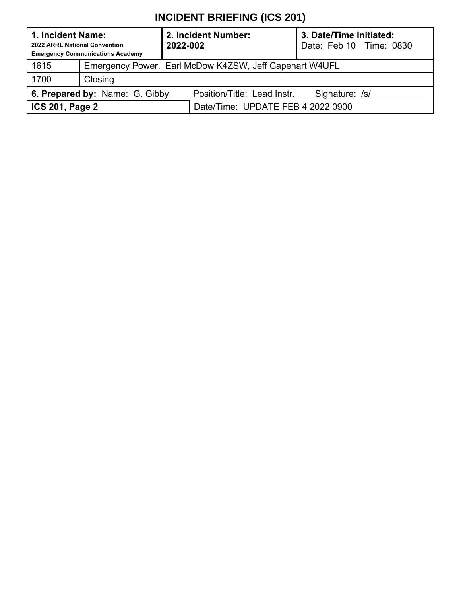| 1. Incident Name:<br>2022 ARRL National Convention | <b>Emergency Communications Academy</b>                | 2. Incident Number:<br>2022-002            | 3. Date/Time Initiated:<br>Date: Feb 10 Time: 0830 |  |  |  |
|----------------------------------------------------|--------------------------------------------------------|--------------------------------------------|----------------------------------------------------|--|--|--|
| 1615                                               | Emergency Power. Earl McDow K4ZSW, Jeff Capehart W4UFL |                                            |                                                    |  |  |  |
| 1700                                               | Closing                                                |                                            |                                                    |  |  |  |
|                                                    | 6. Prepared by: Name: G. Gibby                         | Position/Title: Lead Instr. Signature: /s/ |                                                    |  |  |  |
| ICS 201, Page 2                                    |                                                        | Date/Time: UPDATE FEB 4 2022 0900          |                                                    |  |  |  |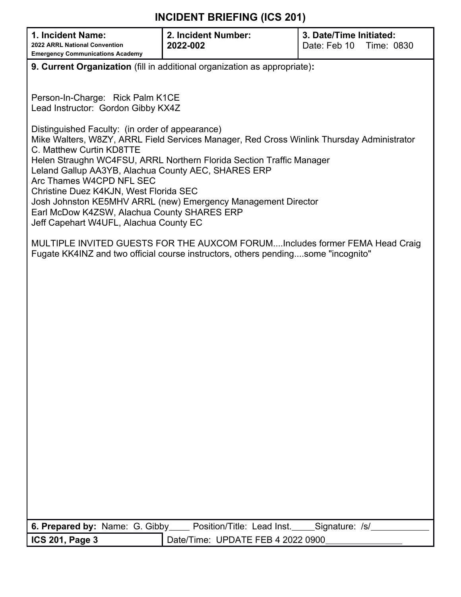|                                                                                                                                                                  | .                                                                                                                                                                                                                                                                           |                                                       |  |  |  |  |
|------------------------------------------------------------------------------------------------------------------------------------------------------------------|-----------------------------------------------------------------------------------------------------------------------------------------------------------------------------------------------------------------------------------------------------------------------------|-------------------------------------------------------|--|--|--|--|
| 1. Incident Name:<br>2022 ARRL National Convention<br><b>Emergency Communications Academy</b>                                                                    | 2. Incident Number:<br>2022-002                                                                                                                                                                                                                                             | 3. Date/Time Initiated:<br>Date: Feb 10<br>Time: 0830 |  |  |  |  |
|                                                                                                                                                                  | 9. Current Organization (fill in additional organization as appropriate):                                                                                                                                                                                                   |                                                       |  |  |  |  |
|                                                                                                                                                                  |                                                                                                                                                                                                                                                                             |                                                       |  |  |  |  |
|                                                                                                                                                                  | Person-In-Charge: Rick Palm K1CE<br>Lead Instructor: Gordon Gibby KX4Z                                                                                                                                                                                                      |                                                       |  |  |  |  |
| C. Matthew Curtin KD8TTE                                                                                                                                         | Distinguished Faculty: (in order of appearance)<br>Mike Walters, W8ZY, ARRL Field Services Manager, Red Cross Winlink Thursday Administrator<br>Helen Straughn WC4FSU, ARRL Northern Florida Section Traffic Manager<br>Leland Gallup AA3YB, Alachua County AEC, SHARES ERP |                                                       |  |  |  |  |
| Arc Thames W4CPD NFL SEC<br>Christine Duez K4KJN, West Florida SEC<br>Earl McDow K4ZSW, Alachua County SHARES ERP<br>Jeff Capehart W4UFL, Alachua County EC      | Josh Johnston KE5MHV ARRL (new) Emergency Management Director                                                                                                                                                                                                               |                                                       |  |  |  |  |
| MULTIPLE INVITED GUESTS FOR THE AUXCOM FORUMIncludes former FEMA Head Craig<br>Fugate KK4INZ and two official course instructors, others pendingsome "incognito" |                                                                                                                                                                                                                                                                             |                                                       |  |  |  |  |
|                                                                                                                                                                  |                                                                                                                                                                                                                                                                             |                                                       |  |  |  |  |
|                                                                                                                                                                  |                                                                                                                                                                                                                                                                             |                                                       |  |  |  |  |
|                                                                                                                                                                  |                                                                                                                                                                                                                                                                             |                                                       |  |  |  |  |
|                                                                                                                                                                  |                                                                                                                                                                                                                                                                             |                                                       |  |  |  |  |
|                                                                                                                                                                  |                                                                                                                                                                                                                                                                             |                                                       |  |  |  |  |
|                                                                                                                                                                  |                                                                                                                                                                                                                                                                             |                                                       |  |  |  |  |
|                                                                                                                                                                  |                                                                                                                                                                                                                                                                             |                                                       |  |  |  |  |
|                                                                                                                                                                  |                                                                                                                                                                                                                                                                             |                                                       |  |  |  |  |
|                                                                                                                                                                  |                                                                                                                                                                                                                                                                             |                                                       |  |  |  |  |
|                                                                                                                                                                  |                                                                                                                                                                                                                                                                             |                                                       |  |  |  |  |
|                                                                                                                                                                  |                                                                                                                                                                                                                                                                             |                                                       |  |  |  |  |
|                                                                                                                                                                  |                                                                                                                                                                                                                                                                             |                                                       |  |  |  |  |
|                                                                                                                                                                  |                                                                                                                                                                                                                                                                             |                                                       |  |  |  |  |
|                                                                                                                                                                  |                                                                                                                                                                                                                                                                             |                                                       |  |  |  |  |
|                                                                                                                                                                  |                                                                                                                                                                                                                                                                             |                                                       |  |  |  |  |
| 6. Prepared by: Name: G. Gibby_                                                                                                                                  | Position/Title: Lead Inst.                                                                                                                                                                                                                                                  | Signature: /s/                                        |  |  |  |  |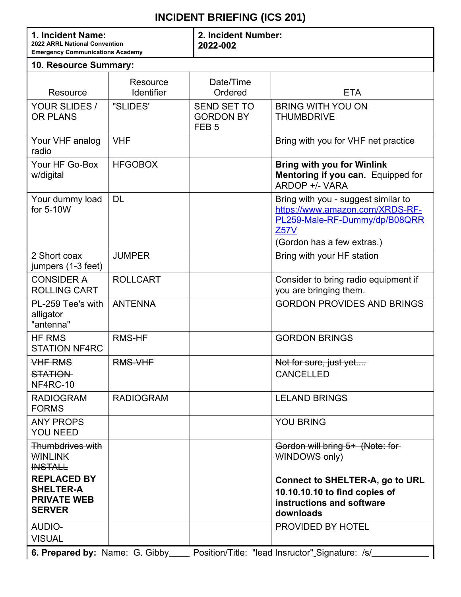| 1. Incident Name:<br>2022 ARRL National Convention<br><b>Emergency Communications Academy</b> |                               | 2. Incident Number:<br>2022-002                            |                                                                                                                                                      |  |  |  |  |
|-----------------------------------------------------------------------------------------------|-------------------------------|------------------------------------------------------------|------------------------------------------------------------------------------------------------------------------------------------------------------|--|--|--|--|
| 10. Resource Summary:                                                                         |                               |                                                            |                                                                                                                                                      |  |  |  |  |
| Resource                                                                                      | Resource<br><b>Identifier</b> | Date/Time<br>Ordered                                       | <b>ETA</b>                                                                                                                                           |  |  |  |  |
| YOUR SLIDES /<br><b>OR PLANS</b>                                                              | "SLIDES"                      | <b>SEND SET TO</b><br><b>GORDON BY</b><br>FEB <sub>5</sub> | <b>BRING WITH YOU ON</b><br><b>THUMBDRIVE</b>                                                                                                        |  |  |  |  |
| Your VHF analog<br>radio                                                                      | <b>VHF</b>                    |                                                            | Bring with you for VHF net practice                                                                                                                  |  |  |  |  |
| Your HF Go-Box<br>w/digital                                                                   | <b>HFGOBOX</b>                |                                                            | <b>Bring with you for Winlink</b><br>Mentoring if you can. Equipped for<br>ARDOP +/- VARA                                                            |  |  |  |  |
| Your dummy load<br>for 5-10W                                                                  | <b>DL</b>                     |                                                            | Bring with you - suggest similar to<br>https://www.amazon.com/XRDS-RF-<br>PL259-Male-RF-Dummy/dp/B08QRR<br><b>Z57V</b><br>(Gordon has a few extras.) |  |  |  |  |
| 2 Short coax<br>jumpers (1-3 feet)                                                            | <b>JUMPER</b>                 |                                                            | Bring with your HF station                                                                                                                           |  |  |  |  |
| <b>CONSIDER A</b><br><b>ROLLING CART</b>                                                      | <b>ROLLCART</b>               |                                                            | Consider to bring radio equipment if<br>you are bringing them.                                                                                       |  |  |  |  |
| PL-259 Tee's with<br>alligator<br>"antenna"                                                   | <b>ANTENNA</b>                |                                                            | <b>GORDON PROVIDES AND BRINGS</b>                                                                                                                    |  |  |  |  |
| <b>HF RMS</b><br><b>STATION NF4RC</b>                                                         | <b>RMS-HF</b>                 |                                                            | <b>GORDON BRINGS</b>                                                                                                                                 |  |  |  |  |
| <b>VHF RMS</b><br><b>STATION</b><br><b>NF4RC-10</b>                                           | <b>RMS-VHF</b>                |                                                            | Not for sure, just yet<br><b>CANCELLED</b>                                                                                                           |  |  |  |  |
| <b>RADIOGRAM</b><br><b>FORMS</b>                                                              | <b>RADIOGRAM</b>              |                                                            | <b>LELAND BRINGS</b>                                                                                                                                 |  |  |  |  |
| <b>ANY PROPS</b><br><b>YOU NEED</b>                                                           |                               |                                                            | <b>YOU BRING</b>                                                                                                                                     |  |  |  |  |
| Thumbdrives with<br><b>WINLINK</b><br><b>INSTALL</b>                                          |                               |                                                            | Gordon will bring 5+ (Note: for-<br><b>WINDOWS only)</b>                                                                                             |  |  |  |  |
| <b>REPLACED BY</b><br><b>SHELTER-A</b><br><b>PRIVATE WEB</b><br><b>SERVER</b>                 |                               |                                                            | <b>Connect to SHELTER-A, go to URL</b><br>10.10.10.10 to find copies of<br>instructions and software<br>downloads                                    |  |  |  |  |
| <b>AUDIO-</b><br><b>VISUAL</b>                                                                |                               |                                                            | PROVIDED BY HOTEL                                                                                                                                    |  |  |  |  |
|                                                                                               |                               |                                                            |                                                                                                                                                      |  |  |  |  |

**6. Prepared by:** Name: G. Gibby\_\_\_\_\_ Position/Title: "lead Insructor"\_Signature: /s/\_\_\_\_\_\_\_\_\_\_\_\_\_\_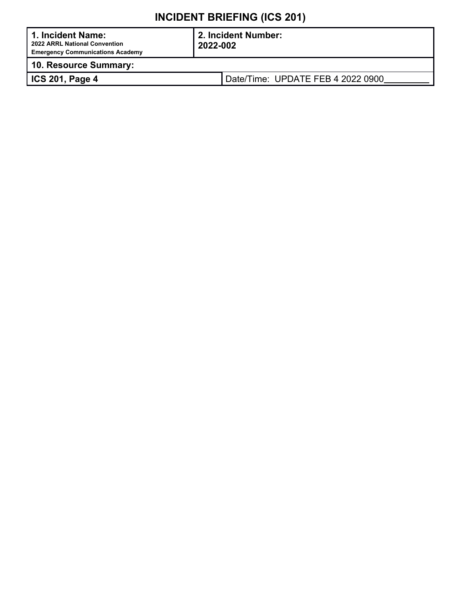| 1. Incident Name:<br>2022 ARRL National Convention<br><b>Emergency Communications Academy</b> | 2022-002 | 2. Incident Number:               |
|-----------------------------------------------------------------------------------------------|----------|-----------------------------------|
| 10. Resource Summary:                                                                         |          |                                   |
| ICS 201, Page 4                                                                               |          | Date/Time: UPDATE FEB 4 2022 0900 |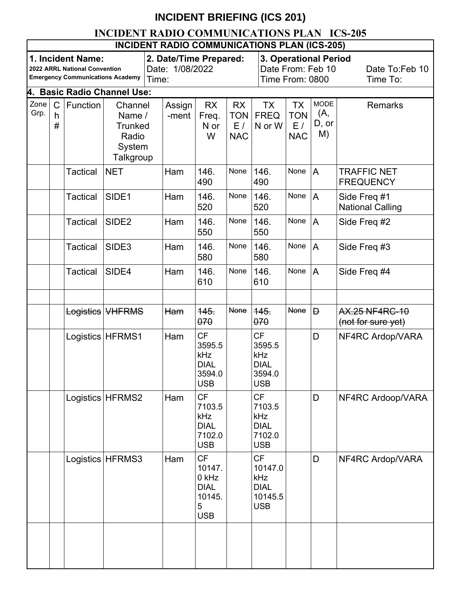### **INCIDENT RADIO COMMUNICATIONS PLAN ICS-205**

|                                                                                                                                       | <b>INCIDENT RADIO COMMUNICATIONS PLAN (ICS-205)</b> |                 |                                                                     |                                           |                 |                                                                          |                                             |                                                                     |                                                   |                                   |                                             |
|---------------------------------------------------------------------------------------------------------------------------------------|-----------------------------------------------------|-----------------|---------------------------------------------------------------------|-------------------------------------------|-----------------|--------------------------------------------------------------------------|---------------------------------------------|---------------------------------------------------------------------|---------------------------------------------------|-----------------------------------|---------------------------------------------|
| 1. Incident Name:<br>2022 ARRL National Convention<br><b>Emergency Communications Academy</b><br>Time:<br>4. Basic Radio Channel Use: |                                                     |                 |                                                                     | 2. Date/Time Prepared:<br>Date: 1/08/2022 |                 |                                                                          | Time From: 0800                             |                                                                     | <b>3. Operational Period</b><br>Date From: Feb 10 | Date To:Feb 10<br>Time To:        |                                             |
|                                                                                                                                       |                                                     |                 |                                                                     |                                           |                 |                                                                          |                                             |                                                                     |                                                   |                                   |                                             |
| Zone<br>Grp.                                                                                                                          | $\mathsf{C}$<br>h<br>#                              | Function        | Channel<br>Name /<br><b>Trunked</b><br>Radio<br>System<br>Talkgroup |                                           | Assign<br>-ment | <b>RX</b><br>Freq.<br>N or<br>W                                          | <b>RX</b><br><b>TON</b><br>E/<br><b>NAC</b> | <b>TX</b><br><b>FREQ</b><br>N or W                                  | TX<br><b>TON</b><br>E/<br><b>NAC</b>              | <b>MODE</b><br>(A,<br>D, or<br>M) | <b>Remarks</b>                              |
|                                                                                                                                       |                                                     | <b>Tactical</b> | <b>NET</b>                                                          |                                           | Ham             | 146.<br>490                                                              | None                                        | 146.<br>490                                                         | None                                              | $\overline{A}$                    | <b>TRAFFIC NET</b><br><b>FREQUENCY</b>      |
|                                                                                                                                       |                                                     | <b>Tactical</b> | SIDE1                                                               |                                           | Ham             | 146.<br>520                                                              | None                                        | 146.<br>520                                                         | None                                              | A                                 | Side Freq #1<br><b>National Calling</b>     |
|                                                                                                                                       |                                                     | <b>Tactical</b> | SIDE <sub>2</sub>                                                   |                                           | Ham             | 146.<br>550                                                              | None                                        | 146.<br>550                                                         | None                                              | $\overline{A}$                    | Side Freq #2                                |
|                                                                                                                                       |                                                     | <b>Tactical</b> | SIDE3                                                               |                                           | Ham             | 146.<br>580                                                              | None                                        | 146.<br>580                                                         | None                                              | A                                 | Side Freq #3                                |
|                                                                                                                                       |                                                     | <b>Tactical</b> | SIDE4                                                               |                                           | Ham             | 146.<br>610                                                              | None                                        | 146.<br>610                                                         | None                                              | $\overline{A}$                    | Side Freq #4                                |
|                                                                                                                                       |                                                     |                 | Logistics   VHFRMS                                                  |                                           | Ham             | $145 -$<br>070                                                           | <b>None</b>                                 | $145 -$<br>070                                                      | <b>None</b>                                       | Đ                                 | <b>AX.25 NF4RC-10</b><br>(not for sure yet) |
|                                                                                                                                       |                                                     |                 | Logistics   HFRMS1                                                  |                                           | Ham             | <b>CF</b><br>3595.5<br>kHz<br><b>DIAL</b><br>3594.0<br><b>USB</b>        |                                             | CF<br>3595.5<br>kHz<br><b>DIAL</b><br>3594.0<br><b>USB</b>          |                                                   | D                                 | NF4RC Ardop/VARA                            |
|                                                                                                                                       |                                                     |                 | Logistics HFRMS2                                                    |                                           | Ham             | <b>CF</b><br>7103.5<br>kHz<br><b>DIAL</b><br>7102.0<br><b>USB</b>        |                                             | <b>CF</b><br>7103.5<br>kHz<br><b>DIAL</b><br>7102.0<br><b>USB</b>   |                                                   | D                                 | NF4RC Ardoop/VARA                           |
|                                                                                                                                       |                                                     | Logistics       | HFRMS3                                                              |                                           | Ham             | <b>CF</b><br>10147.<br>0 kHz<br><b>DIAL</b><br>10145.<br>5<br><b>USB</b> |                                             | <b>CF</b><br>10147.0<br>kHz<br><b>DIAL</b><br>10145.5<br><b>USB</b> |                                                   | D                                 | NF4RC Ardop/VARA                            |
|                                                                                                                                       |                                                     |                 |                                                                     |                                           |                 |                                                                          |                                             |                                                                     |                                                   |                                   |                                             |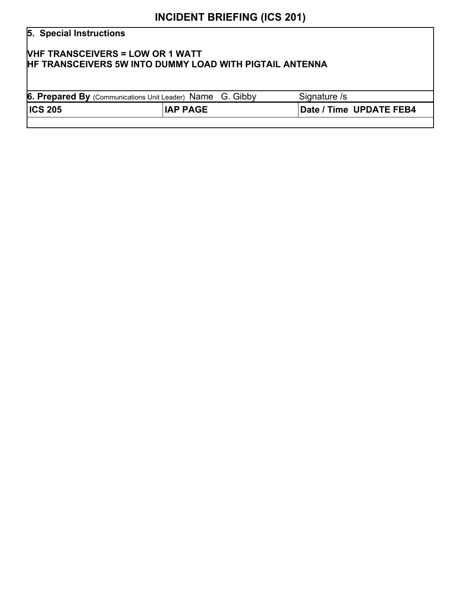# **5. Special Instructions VHF TRANSCEIVERS = LOW OR 1 WATT HF TRANSCEIVERS 5W INTO DUMMY LOAD WITH PIGTAIL ANTENNA 6. Prepared By** (Communications Unit Leader) Name G. Gibby Signature /s **ICS 205 IAP PAGE Date / Time UPDATE FEB4**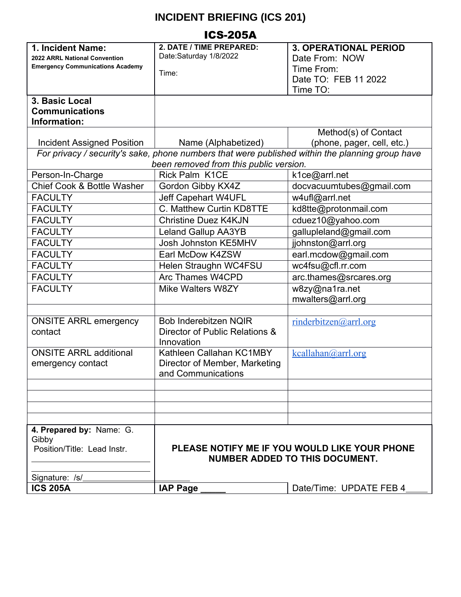| <b>ICS-205A</b>                                                                                                                                                              |                                                                                 |                                                                                                                                                       |  |  |  |
|------------------------------------------------------------------------------------------------------------------------------------------------------------------------------|---------------------------------------------------------------------------------|-------------------------------------------------------------------------------------------------------------------------------------------------------|--|--|--|
| 1. Incident Name:<br>2022 ARRL National Convention<br><b>Emergency Communications Academy</b>                                                                                | 2. DATE / TIME PREPARED:<br>Date:Saturday 1/8/2022<br>Time:                     | <b>3. OPERATIONAL PERIOD</b><br>Date From: NOW<br>Time From:<br>Date TO: FEB 11 2022<br>Time TO:                                                      |  |  |  |
| 3. Basic Local<br><b>Communications</b><br>Information:                                                                                                                      |                                                                                 |                                                                                                                                                       |  |  |  |
| <b>Incident Assigned Position</b>                                                                                                                                            | Name (Alphabetized)                                                             | Method(s) of Contact<br>(phone, pager, cell, etc.)<br>For privacy / security's sake, phone numbers that were published within the planning group have |  |  |  |
|                                                                                                                                                                              | been removed from this public version.                                          |                                                                                                                                                       |  |  |  |
| Person-In-Charge                                                                                                                                                             | <b>Rick Palm K1CE</b>                                                           | k1ce@arrl.net                                                                                                                                         |  |  |  |
| Chief Cook & Bottle Washer                                                                                                                                                   | Gordon Gibby KX4Z                                                               | docvacuumtubes@gmail.com                                                                                                                              |  |  |  |
| <b>FACULTY</b>                                                                                                                                                               | <b>Jeff Capehart W4UFL</b>                                                      | w4ufl@arrl.net                                                                                                                                        |  |  |  |
| <b>FACULTY</b>                                                                                                                                                               | C. Matthew Curtin KD8TTE                                                        | kd8tte@protonmail.com                                                                                                                                 |  |  |  |
| <b>FACULTY</b>                                                                                                                                                               | <b>Christine Duez K4KJN</b>                                                     | cduez10@yahoo.com                                                                                                                                     |  |  |  |
| <b>FACULTY</b>                                                                                                                                                               | <b>Leland Gallup AA3YB</b>                                                      | gallupleland@gmail.com                                                                                                                                |  |  |  |
| <b>FACULTY</b>                                                                                                                                                               | Josh Johnston KE5MHV                                                            | jjohnston@arrl.org                                                                                                                                    |  |  |  |
| <b>FACULTY</b>                                                                                                                                                               | Earl McDow K4ZSW                                                                | earl.mcdow@gmail.com                                                                                                                                  |  |  |  |
| <b>FACULTY</b>                                                                                                                                                               | Helen Straughn WC4FSU                                                           | wc4fsu@cfl.rr.com                                                                                                                                     |  |  |  |
| <b>FACULTY</b>                                                                                                                                                               | <b>Arc Thames W4CPD</b>                                                         | arc.thames@srcares.org                                                                                                                                |  |  |  |
| <b>FACULTY</b>                                                                                                                                                               | Mike Walters W8ZY                                                               | w8zy@na1ra.net<br>mwalters@arrl.org                                                                                                                   |  |  |  |
|                                                                                                                                                                              |                                                                                 |                                                                                                                                                       |  |  |  |
| <b>ONSITE ARRL emergency</b><br>contact                                                                                                                                      | Bob Inderebitzen NQIR<br>Director of Public Relations &<br>Innovation           | rinderbitzen@arrl.org                                                                                                                                 |  |  |  |
| <b>ONSITE ARRL additional</b><br>emergency contact                                                                                                                           | Kathleen Callahan KC1MBY<br>Director of Member, Marketing<br>and Communications | kcallahan@arrl.org                                                                                                                                    |  |  |  |
|                                                                                                                                                                              |                                                                                 |                                                                                                                                                       |  |  |  |
|                                                                                                                                                                              |                                                                                 |                                                                                                                                                       |  |  |  |
|                                                                                                                                                                              |                                                                                 |                                                                                                                                                       |  |  |  |
| 4. Prepared by: Name: G.<br>Gibby<br>Position/Title: Lead Instr.<br>PLEASE NOTIFY ME IF YOU WOULD LIKE YOUR PHONE<br><b>NUMBER ADDED TO THIS DOCUMENT.</b><br>Signature: /s/ |                                                                                 |                                                                                                                                                       |  |  |  |
| <b>ICS 205A</b>                                                                                                                                                              | <b>IAP Page</b>                                                                 | Date/Time: UPDATE FEB 4                                                                                                                               |  |  |  |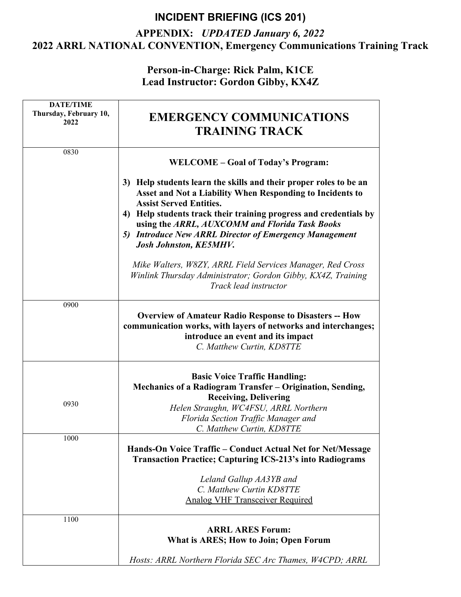### **APPENDIX:** *UPDATED January 6, 2022* **2022 ARRL NATIONAL CONVENTION, Emergency Communications Training Track**

**Person-in-Charge: Rick Palm, K1CE Lead Instructor: Gordon Gibby, KX4Z**

| <b>DATE/TIME</b>               |                                                                                                                                                                                                                                                                                                                                                                                                 |
|--------------------------------|-------------------------------------------------------------------------------------------------------------------------------------------------------------------------------------------------------------------------------------------------------------------------------------------------------------------------------------------------------------------------------------------------|
| Thursday, February 10,<br>2022 | <b>EMERGENCY COMMUNICATIONS</b>                                                                                                                                                                                                                                                                                                                                                                 |
|                                | <b>TRAINING TRACK</b>                                                                                                                                                                                                                                                                                                                                                                           |
| 0830                           |                                                                                                                                                                                                                                                                                                                                                                                                 |
|                                | WELCOME – Goal of Today's Program:                                                                                                                                                                                                                                                                                                                                                              |
|                                | 3) Help students learn the skills and their proper roles to be an<br>Asset and Not a Liability When Responding to Incidents to<br><b>Assist Served Entities.</b><br>Help students track their training progress and credentials by<br>4)<br>using the ARRL, AUXCOMM and Florida Task Books<br><b>Introduce New ARRL Director of Emergency Management</b><br>5)<br><b>Josh Johnston, KE5MHV.</b> |
|                                | Mike Walters, W8ZY, ARRL Field Services Manager, Red Cross<br>Winlink Thursday Administrator; Gordon Gibby, KX4Z, Training<br>Track lead instructor                                                                                                                                                                                                                                             |
| 0900                           |                                                                                                                                                                                                                                                                                                                                                                                                 |
|                                | <b>Overview of Amateur Radio Response to Disasters -- How</b><br>communication works, with layers of networks and interchanges;<br>introduce an event and its impact<br>C. Matthew Curtin, KD8TTE                                                                                                                                                                                               |
| 0930                           | <b>Basic Voice Traffic Handling:</b><br>Mechanics of a Radiogram Transfer - Origination, Sending,<br><b>Receiving, Delivering</b><br>Helen Straughn, WC4FSU, ARRL Northern<br>Florida Section Traffic Manager and<br>C. Matthew Curtin, KD8TTE                                                                                                                                                  |
| 1000                           |                                                                                                                                                                                                                                                                                                                                                                                                 |
|                                | Hands-On Voice Traffic – Conduct Actual Net for Net/Message<br><b>Transaction Practice; Capturing ICS-213's into Radiograms</b>                                                                                                                                                                                                                                                                 |
|                                | Leland Gallup AA3YB and<br>C. Matthew Curtin KD8TTE<br><b>Analog VHF Transceiver Required</b>                                                                                                                                                                                                                                                                                                   |
| 1100                           |                                                                                                                                                                                                                                                                                                                                                                                                 |
|                                | <b>ARRL ARES Forum:</b><br>What is ARES; How to Join; Open Forum                                                                                                                                                                                                                                                                                                                                |
|                                | Hosts: ARRL Northern Florida SEC Arc Thames, W4CPD; ARRL                                                                                                                                                                                                                                                                                                                                        |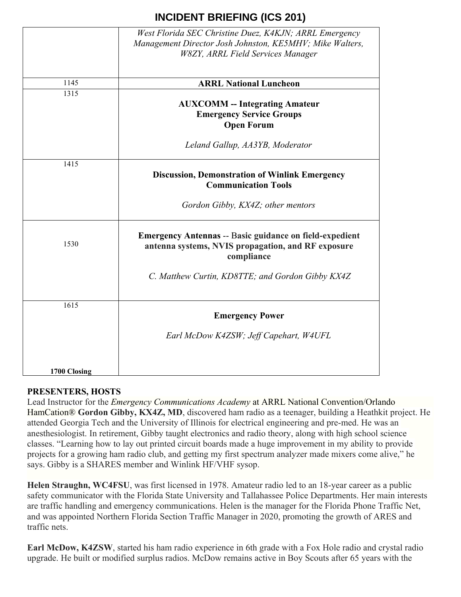|              | West Florida SEC Christine Duez, K4KJN; ARRL Emergency<br>Management Director Josh Johnston, KE5MHV; Mike Walters,<br><b>W8ZY, ARRL Field Services Manager</b> |
|--------------|----------------------------------------------------------------------------------------------------------------------------------------------------------------|
| 1145         | <b>ARRL National Luncheon</b>                                                                                                                                  |
| 1315         | <b>AUXCOMM</b> -- Integrating Amateur<br><b>Emergency Service Groups</b><br><b>Open Forum</b>                                                                  |
|              | Leland Gallup, AA3YB, Moderator                                                                                                                                |
| 1415         | <b>Discussion, Demonstration of Winlink Emergency</b><br><b>Communication Tools</b>                                                                            |
|              | Gordon Gibby, KX4Z; other mentors                                                                                                                              |
| 1530         | <b>Emergency Antennas -- Basic guidance on field-expedient</b><br>antenna systems, NVIS propagation, and RF exposure<br>compliance                             |
|              | C. Matthew Curtin, KD8TTE; and Gordon Gibby KX4Z                                                                                                               |
| 1615         | <b>Emergency Power</b>                                                                                                                                         |
|              | Earl McDow K4ZSW; Jeff Capehart, W4UFL                                                                                                                         |
| 1700 Closing |                                                                                                                                                                |

### **PRESENTERS, HOSTS**

Lead Instructor for the *Emergency Communications Academy* at ARRL National Convention/Orlando HamCation® **Gordon Gibby, KX4Z, MD**, discovered ham radio as a teenager, building a Heathkit project. He attended Georgia Tech and the University of Illinois for electrical engineering and pre-med. He was an anesthesiologist. In retirement, Gibby taught electronics and radio theory, along with high school science classes. "Learning how to lay out printed circuit boards made a huge improvement in my ability to provide projects for a growing ham radio club, and getting my first spectrum analyzer made mixers come alive," he says. Gibby is a SHARES member and Winlink HF/VHF sysop.

**Helen Straughn, WC4FSU**, was first licensed in 1978. Amateur radio led to an 18-year career as a public safety communicator with the Florida State University and Tallahassee Police Departments. Her main interests are traffic handling and emergency communications. Helen is the manager for the Florida Phone Traffic Net, and was appointed Northern Florida Section Traffic Manager in 2020, promoting the growth of ARES and traffic nets.

**Earl McDow, K4ZSW**, started his ham radio experience in 6th grade with a Fox Hole radio and crystal radio upgrade. He built or modified surplus radios. McDow remains active in Boy Scouts after 65 years with the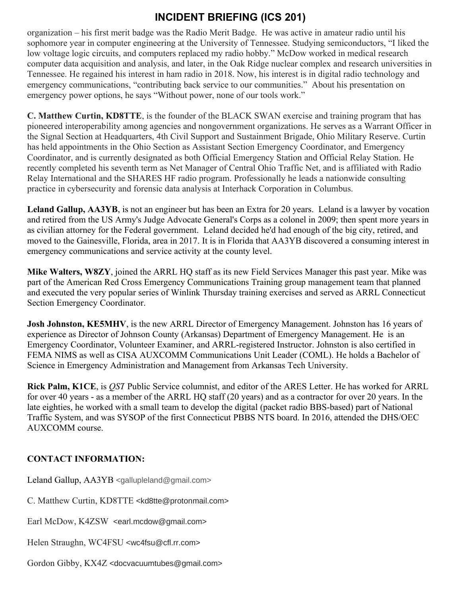organization – his first merit badge was the Radio Merit Badge. He was active in amateur radio until his sophomore year in computer engineering at the University of Tennessee. Studying semiconductors, "I liked the low voltage logic circuits, and computers replaced my radio hobby." McDow worked in medical research computer data acquisition and analysis, and later, in the Oak Ridge nuclear complex and research universities in Tennessee. He regained his interest in ham radio in 2018. Now, his interest is in digital radio technology and emergency communications, "contributing back service to our communities." About his presentation on emergency power options, he says "Without power, none of our tools work."

**C. Matthew Curtin, KD8TTE**, is the founder of the BLACK SWAN exercise and training program that has pioneered interoperability among agencies and nongovernment organizations. He serves as a Warrant Officer in the Signal Section at Headquarters, 4th Civil Support and Sustainment Brigade, Ohio Military Reserve. Curtin has held appointments in the Ohio Section as Assistant Section Emergency Coordinator, and Emergency Coordinator, and is currently designated as both Official Emergency Station and Official Relay Station. He recently completed his seventh term as Net Manager of Central Ohio Traffic Net, and is affiliated with Radio Relay International and the SHARES HF radio program. Professionally he leads a nationwide consulting practice in cybersecurity and forensic data analysis at Interhack Corporation in Columbus.

**Leland Gallup, AA3YB**, is not an engineer but has been an Extra for 20 years. Leland is a lawyer by vocation and retired from the US Army's Judge Advocate General's Corps as a colonel in 2009; then spent more years in as civilian attorney for the Federal government. Leland decided he'd had enough of the big city, retired, and moved to the Gainesville, Florida, area in 2017. It is in Florida that AA3YB discovered a consuming interest in emergency communications and service activity at the county level.

**Mike Walters, W8ZY**, joined the ARRL HQ staff as its new Field Services Manager this past year. Mike was part of the American Red Cross Emergency Communications Training group management team that planned and executed the very popular series of Winlink Thursday training exercises and served as ARRL Connecticut Section Emergency Coordinator.

**Josh Johnston, KE5MHV**, is the new ARRL Director of Emergency Management. Johnston has 16 years of experience as Director of Johnson County (Arkansas) Department of Emergency Management. He is an Emergency Coordinator, Volunteer Examiner, and ARRL-registered Instructor. Johnston is also certified in FEMA NIMS as well as CISA AUXCOMM Communications Unit Leader (COML). He holds a Bachelor of Science in Emergency Administration and Management from Arkansas Tech University.

**Rick Palm, K1CE**, is *QST* Public Service columnist, and editor of the ARES Letter. He has worked for ARRL for over 40 years - as a member of the ARRL HQ staff (20 years) and as a contractor for over 20 years. In the late eighties, he worked with a small team to develop the digital (packet radio BBS-based) part of National Traffic System, and was SYSOP of the first Connecticut PBBS NTS board. In 2016, attended the DHS/OEC AUXCOMM course.

### **CONTACT INFORMATION:**

Leland Gallup, AA3YB <gallupleland@gmail.com>

C. Matthew Curtin, KD8TTE <kd8tte@protonmail.com>

Earl McDow, K4ZSW <earl.mcdow@gmail.com>

Helen Straughn, WC4FSU <wc4fsu@cfl.rr.com>

Gordon Gibby, KX4Z <docvacuumtubes@gmail.com>